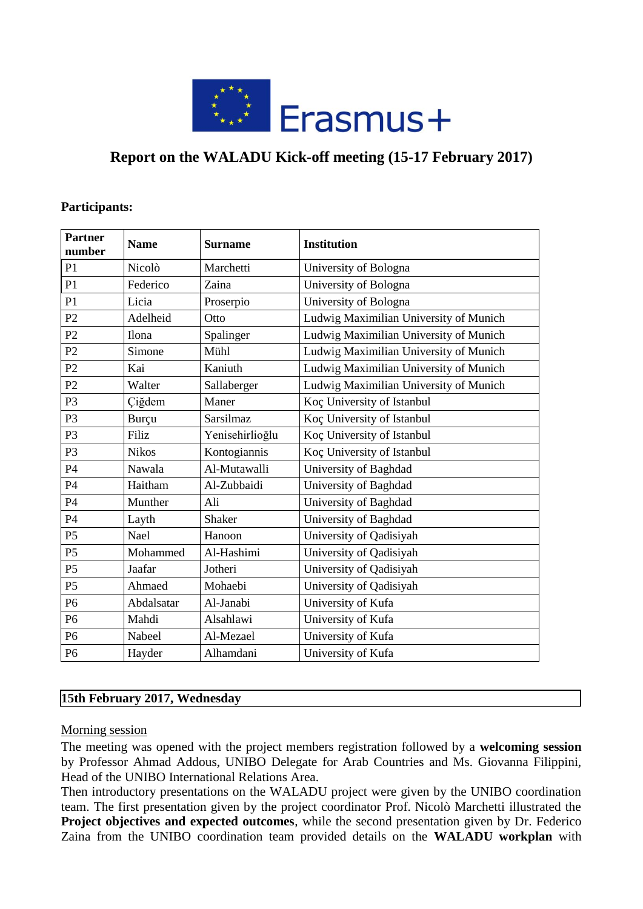

## **Report on the WALADU Kick-off meeting (15-17 February 2017)**

### **Participants:**

| <b>Partner</b><br>number | <b>Name</b>  | <b>Surname</b>  | <b>Institution</b>                     |
|--------------------------|--------------|-----------------|----------------------------------------|
| P <sub>1</sub>           | Nicolò       | Marchetti       | University of Bologna                  |
| P1                       | Federico     | Zaina           | University of Bologna                  |
| P1                       | Licia        | Proserpio       | University of Bologna                  |
| P2                       | Adelheid     | Otto            | Ludwig Maximilian University of Munich |
| P2                       | Ilona        | Spalinger       | Ludwig Maximilian University of Munich |
| P2                       | Simone       | Mühl            | Ludwig Maximilian University of Munich |
| P2                       | Kai          | Kaniuth         | Ludwig Maximilian University of Munich |
| P2                       | Walter       | Sallaberger     | Ludwig Maximilian University of Munich |
| P <sub>3</sub>           | Çiğdem       | Maner           | Koç University of Istanbul             |
| P <sub>3</sub>           | <b>Burcu</b> | Sarsilmaz       | Koç University of Istanbul             |
| P <sub>3</sub>           | Filiz        | Yenisehirlioğlu | Koç University of Istanbul             |
| P <sub>3</sub>           | <b>Nikos</b> | Kontogiannis    | Koç University of Istanbul             |
| P4                       | Nawala       | Al-Mutawalli    | University of Baghdad                  |
| P4                       | Haitham      | Al-Zubbaidi     | University of Baghdad                  |
| P4                       | Munther      | Ali             | University of Baghdad                  |
| P4                       | Layth        | Shaker          | University of Baghdad                  |
| P <sub>5</sub>           | Nael         | Hanoon          | University of Qadisiyah                |
| P <sub>5</sub>           | Mohammed     | Al-Hashimi      | University of Qadisiyah                |
| P <sub>5</sub>           | Jaafar       | Jotheri         | University of Qadisiyah                |
| P <sub>5</sub>           | Ahmaed       | Mohaebi         | University of Qadisiyah                |
| P <sub>6</sub>           | Abdalsatar   | Al-Janabi       | University of Kufa                     |
| P <sub>6</sub>           | Mahdi        | Alsahlawi       | University of Kufa                     |
| P <sub>6</sub>           | Nabeel       | Al-Mezael       | University of Kufa                     |
| P <sub>6</sub>           | Hayder       | Alhamdani       | University of Kufa                     |

## **15th February 2017, Wednesday**

#### Morning session

The meeting was opened with the project members registration followed by a **welcoming session** by Professor Ahmad Addous, UNIBO Delegate for Arab Countries and Ms. Giovanna Filippini, Head of the UNIBO International Relations Area.

Then introductory presentations on the WALADU project were given by the UNIBO coordination team. The first presentation given by the project coordinator Prof. Nicolò Marchetti illustrated the **Project objectives and expected outcomes**, while the second presentation given by Dr. Federico Zaina from the UNIBO coordination team provided details on the **WALADU workplan** with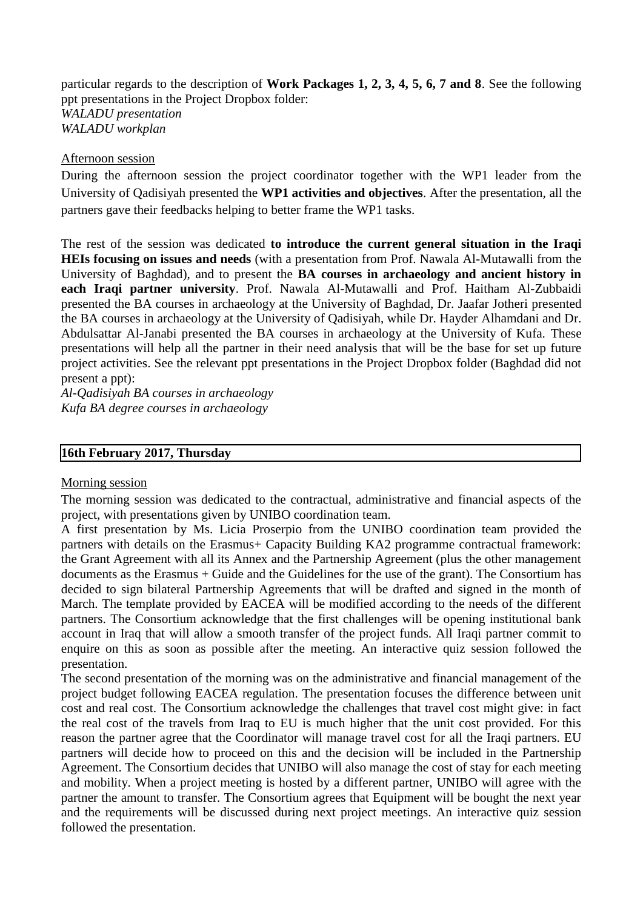particular regards to the description of **Work Packages 1, 2, 3, 4, 5, 6, 7 and 8**. See the following ppt presentations in the Project Dropbox folder: *WALADU presentation WALADU workplan* 

#### Afternoon session

During the afternoon session the project coordinator together with the WP1 leader from the University of Qadisiyah presented the **WP1 activities and objectives**. After the presentation, all the partners gave their feedbacks helping to better frame the WP1 tasks.

The rest of the session was dedicated **to introduce the current general situation in the Iraqi HEIs focusing on issues and needs** (with a presentation from Prof. Nawala Al-Mutawalli from the University of Baghdad), and to present the **BA courses in archaeology and ancient history in each Iraqi partner university**. Prof. Nawala Al-Mutawalli and Prof. Haitham Al-Zubbaidi presented the BA courses in archaeology at the University of Baghdad, Dr. Jaafar Jotheri presented the BA courses in archaeology at the University of Qadisiyah, while Dr. Hayder Alhamdani and Dr. Abdulsattar Al-Janabi presented the BA courses in archaeology at the University of Kufa. These presentations will help all the partner in their need analysis that will be the base for set up future project activities. See the relevant ppt presentations in the Project Dropbox folder (Baghdad did not present a ppt):

*Al-Qadisiyah BA courses in archaeology Kufa BA degree courses in archaeology*

#### **16th February 2017, Thursday**

#### Morning session

The morning session was dedicated to the contractual, administrative and financial aspects of the project, with presentations given by UNIBO coordination team.

A first presentation by Ms. Licia Proserpio from the UNIBO coordination team provided the partners with details on the Erasmus+ Capacity Building KA2 programme contractual framework: the Grant Agreement with all its Annex and the Partnership Agreement (plus the other management documents as the Erasmus + Guide and the Guidelines for the use of the grant). The Consortium has decided to sign bilateral Partnership Agreements that will be drafted and signed in the month of March. The template provided by EACEA will be modified according to the needs of the different partners. The Consortium acknowledge that the first challenges will be opening institutional bank account in Iraq that will allow a smooth transfer of the project funds. All Iraqi partner commit to enquire on this as soon as possible after the meeting. An interactive quiz session followed the presentation.

The second presentation of the morning was on the administrative and financial management of the project budget following EACEA regulation. The presentation focuses the difference between unit cost and real cost. The Consortium acknowledge the challenges that travel cost might give: in fact the real cost of the travels from Iraq to EU is much higher that the unit cost provided. For this reason the partner agree that the Coordinator will manage travel cost for all the Iraqi partners. EU partners will decide how to proceed on this and the decision will be included in the Partnership Agreement. The Consortium decides that UNIBO will also manage the cost of stay for each meeting and mobility. When a project meeting is hosted by a different partner, UNIBO will agree with the partner the amount to transfer. The Consortium agrees that Equipment will be bought the next year and the requirements will be discussed during next project meetings. An interactive quiz session followed the presentation.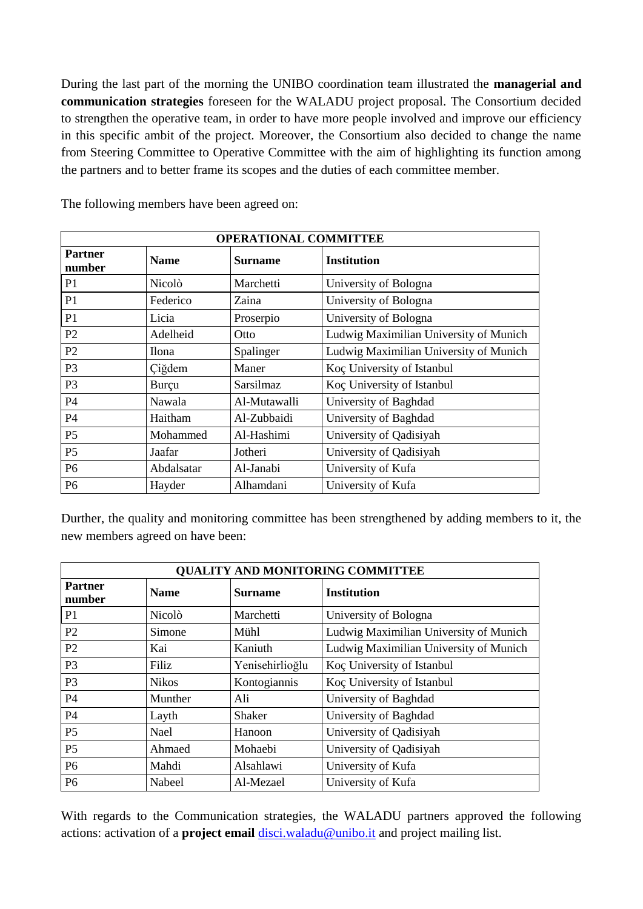During the last part of the morning the UNIBO coordination team illustrated the **managerial and communication strategies** foreseen for the WALADU project proposal. The Consortium decided to strengthen the operative team, in order to have more people involved and improve our efficiency in this specific ambit of the project. Moreover, the Consortium also decided to change the name from Steering Committee to Operative Committee with the aim of highlighting its function among the partners and to better frame its scopes and the duties of each committee member.

| <b>OPERATIONAL COMMITTEE</b> |              |                  |                                        |
|------------------------------|--------------|------------------|----------------------------------------|
| <b>Partner</b><br>number     | <b>Name</b>  | <b>Surname</b>   | <b>Institution</b>                     |
| P <sub>1</sub>               | Nicolò       | Marchetti        | University of Bologna                  |
| P <sub>1</sub>               | Federico     | Zaina            | University of Bologna                  |
| P <sub>1</sub>               | Licia        | Proserpio        | University of Bologna                  |
| P <sub>2</sub>               | Adelheid     | Otto             | Ludwig Maximilian University of Munich |
| P <sub>2</sub>               | <b>Ilona</b> | Spalinger        | Ludwig Maximilian University of Munich |
| P <sub>3</sub>               | Ciğdem       | Maner            | Koç University of Istanbul             |
| P <sub>3</sub>               | Burçu        | <b>Sarsilmaz</b> | Koc University of Istanbul             |
| <b>P4</b>                    | Nawala       | Al-Mutawalli     | University of Baghdad                  |
| <b>P4</b>                    | Haitham      | Al-Zubbaidi      | University of Baghdad                  |
| P <sub>5</sub>               | Mohammed     | Al-Hashimi       | University of Qadisiyah                |
| <b>P5</b>                    | Jaafar       | Jotheri          | University of Qadisiyah                |
| P <sub>6</sub>               | Abdalsatar   | Al-Janabi        | University of Kufa                     |
| P <sub>6</sub>               | Hayder       | Alhamdani        | University of Kufa                     |

The following members have been agreed on:

Durther, the quality and monitoring committee has been strengthened by adding members to it, the new members agreed on have been:

| <b>QUALITY AND MONITORING COMMITTEE</b> |               |                 |                                        |
|-----------------------------------------|---------------|-----------------|----------------------------------------|
| <b>Partner</b><br>number                | <b>Name</b>   | <b>Surname</b>  | <b>Institution</b>                     |
| P <sub>1</sub>                          | <b>Nicolò</b> | Marchetti       | University of Bologna                  |
| P <sub>2</sub>                          | Simone        | Mühl            | Ludwig Maximilian University of Munich |
| P <sub>2</sub>                          | Kai           | Kaniuth         | Ludwig Maximilian University of Munich |
| P <sub>3</sub>                          | Filiz.        | Yenisehirlioğlu | Koç University of Istanbul             |
| P <sub>3</sub>                          | <b>Nikos</b>  | Kontogiannis    | Koç University of Istanbul             |
| <b>P4</b>                               | Munther       | Ali             | University of Baghdad                  |
| P <sub>4</sub>                          | Layth         | Shaker          | University of Baghdad                  |
| P <sub>5</sub>                          | Nael          | Hanoon          | University of Qadisiyah                |
| P <sub>5</sub>                          | Ahmaed        | Mohaebi         | University of Qadisiyah                |
| P <sub>6</sub>                          | Mahdi         | Alsahlawi       | University of Kufa                     |
| P <sub>6</sub>                          | Nabeel        | Al-Mezael       | University of Kufa                     |

With regards to the Communication strategies, the WALADU partners approved the following actions: activation of a **project email** [disci.waladu@unibo.it](mailto:disci.waladu@unibo.it) and project mailing list.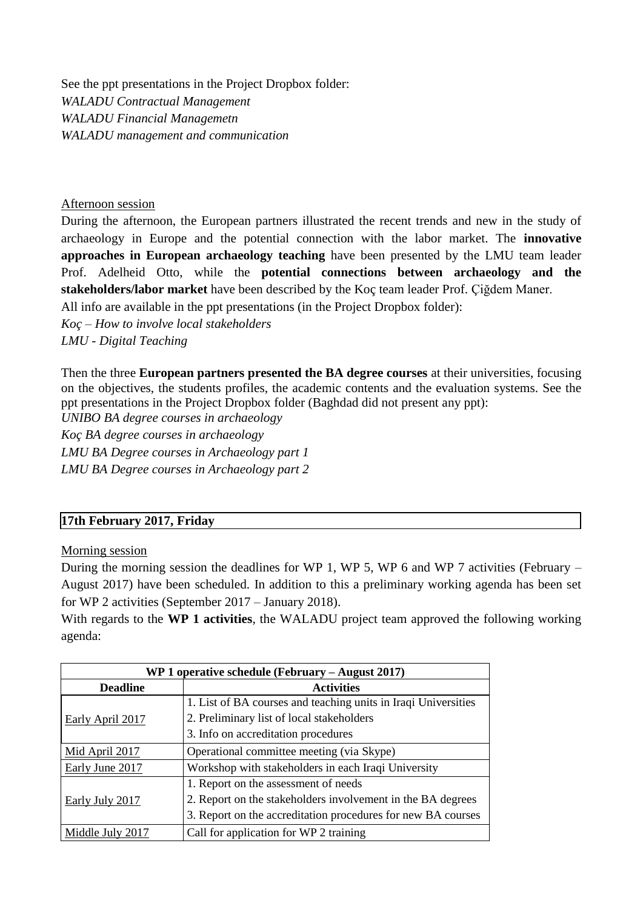See the ppt presentations in the Project Dropbox folder: *WALADU Contractual Management WALADU Financial Managemetn WALADU management and communication*

### Afternoon session

During the afternoon, the European partners illustrated the recent trends and new in the study of archaeology in Europe and the potential connection with the labor market. The **innovative approaches in European archaeology teaching** have been presented by the LMU team leader Prof. Adelheid Otto, while the **potential connections between archaeology and the stakeholders/labor market** have been described by the Koç team leader Prof. Çiğdem Maner.

All info are available in the ppt presentations (in the Project Dropbox folder):

*Koç – How to involve local stakeholders LMU - Digital Teaching*

Then the three **European partners presented the BA degree courses** at their universities, focusing on the objectives, the students profiles, the academic contents and the evaluation systems. See the ppt presentations in the Project Dropbox folder (Baghdad did not present any ppt):

*UNIBO BA degree courses in archaeology*

*Koç BA degree courses in archaeology LMU BA Degree courses in Archaeology part 1*

*LMU BA Degree courses in Archaeology part 2*

# **17th February 2017, Friday**

Morning session

During the morning session the deadlines for WP 1, WP 5, WP 6 and WP 7 activities (February – August 2017) have been scheduled. In addition to this a preliminary working agenda has been set for WP 2 activities (September 2017 – January 2018).

With regards to the **WP 1 activities**, the WALADU project team approved the following working agenda:

| WP 1 operative schedule (February $-$ August 2017) |                                                                |
|----------------------------------------------------|----------------------------------------------------------------|
| <b>Deadline</b>                                    | <b>Activities</b>                                              |
|                                                    | 1. List of BA courses and teaching units in Iraqi Universities |
| Early April 2017                                   | 2. Preliminary list of local stakeholders                      |
|                                                    | 3. Info on accreditation procedures                            |
| Mid April 2017                                     | Operational committee meeting (via Skype)                      |
| Early June 2017                                    | Workshop with stakeholders in each Iraqi University            |
|                                                    | 1. Report on the assessment of needs                           |
| Early July 2017                                    | 2. Report on the stakeholders involvement in the BA degrees    |
|                                                    | 3. Report on the accreditation procedures for new BA courses   |
| Middle July 2017                                   | Call for application for WP 2 training                         |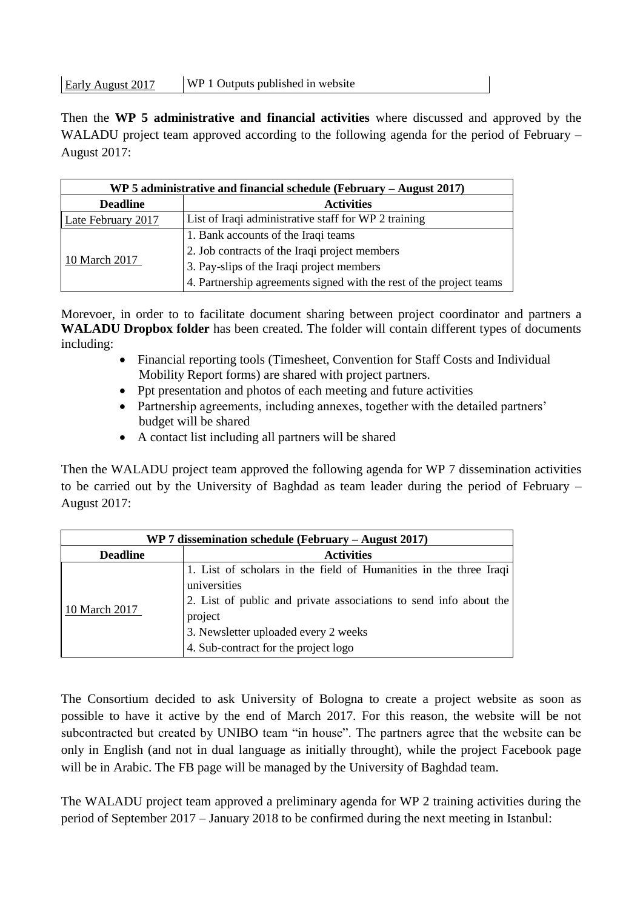Early August 2017 WP 1 Outputs published in website

Then the **WP 5 administrative and financial activities** where discussed and approved by the WALADU project team approved according to the following agenda for the period of February – August 2017:

| WP 5 administrative and financial schedule (February $-$ August 2017) |                                                                     |  |
|-----------------------------------------------------------------------|---------------------------------------------------------------------|--|
| <b>Deadline</b>                                                       | <b>Activities</b>                                                   |  |
| Late February 2017                                                    | List of Iraqi administrative staff for WP 2 training                |  |
|                                                                       | 1. Bank accounts of the Iraqi teams                                 |  |
|                                                                       | 2. Job contracts of the Iraqi project members                       |  |
| 10 March 2017                                                         | 3. Pay-slips of the Iraqi project members                           |  |
|                                                                       | 4. Partnership agreements signed with the rest of the project teams |  |

Morevoer, in order to to facilitate document sharing between project coordinator and partners a **WALADU Dropbox folder** has been created. The folder will contain different types of documents including:

- Financial reporting tools (Timesheet, Convention for Staff Costs and Individual Mobility Report forms) are shared with project partners.
- Ppt presentation and photos of each meeting and future activities
- Partnership agreements, including annexes, together with the detailed partners' budget will be shared
- A contact list including all partners will be shared

Then the WALADU project team approved the following agenda for WP 7 dissemination activities to be carried out by the University of Baghdad as team leader during the period of February – August 2017:

| WP 7 dissemination schedule (February $-$ August 2017) |                                                                                                                                                                                                                                                   |  |
|--------------------------------------------------------|---------------------------------------------------------------------------------------------------------------------------------------------------------------------------------------------------------------------------------------------------|--|
| <b>Deadline</b>                                        | <b>Activities</b>                                                                                                                                                                                                                                 |  |
| 10 March 2017                                          | 1. List of scholars in the field of Humanities in the three Iraqi<br>universities<br>2. List of public and private associations to send info about the<br>project<br>3. Newsletter uploaded every 2 weeks<br>4. Sub-contract for the project logo |  |

The Consortium decided to ask University of Bologna to create a project website as soon as possible to have it active by the end of March 2017. For this reason, the website will be not subcontracted but created by UNIBO team "in house". The partners agree that the website can be only in English (and not in dual language as initially throught), while the project Facebook page will be in Arabic. The FB page will be managed by the University of Baghdad team.

The WALADU project team approved a preliminary agenda for WP 2 training activities during the period of September 2017 – January 2018 to be confirmed during the next meeting in Istanbul: